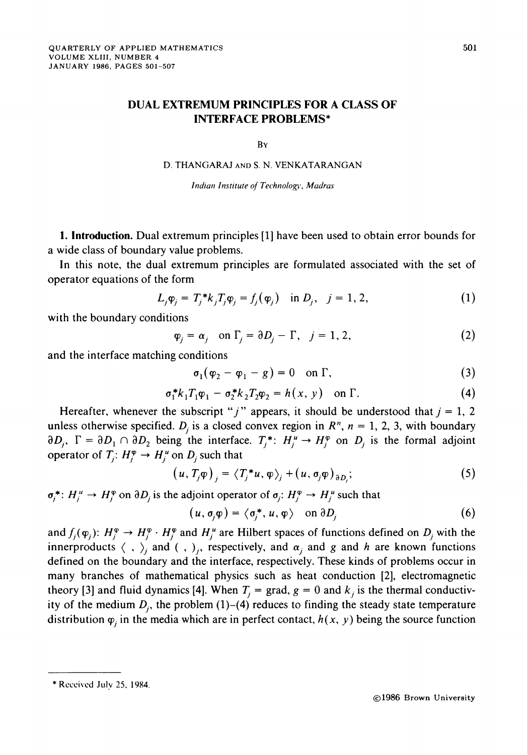## DUAL EXTREMUM PRINCIPLES FOR A CLASS OF INTERFACE PROBLEMS\*

By

D. THANGARAJ and S. N. VENKATARANGAN

Indian Institute of Technology, Madras

1. Introduction. Dual extremum principles [1] have been used to obtain error bounds for a wide class of boundary value problems.

In this note, the dual extremum principles are formulated associated with the set of operator equations of the form

$$
L_j \varphi_j = T_j^* k_j T_j \varphi_j = f_j(\varphi_j) \quad \text{in } D_j, \quad j = 1, 2,
$$
 (1)

with the boundary conditions

$$
\varphi_j = \alpha_j \quad \text{on } \Gamma_j = \partial D_j - \Gamma, \quad j = 1, 2,
$$
 (2)

and the interface matching conditions

$$
\sigma_1(\varphi_2 - \varphi_1 - g) = 0 \quad \text{on } \Gamma,\tag{3}
$$

$$
\sigma_1^* k_1 T_1 \varphi_1 - \sigma_2^* k_2 T_2 \varphi_2 = h(x, y) \quad \text{on } \Gamma. \tag{4}
$$

Hereafter, whenever the subscript "j" appears, it should be understood that  $j = 1, 2$ unless otherwise specified.  $D_i$  is a closed convex region in  $R<sup>n</sup>$ ,  $n = 1, 2, 3$ , with boundary  $\partial D_i$ ,  $\Gamma = \partial D_1 \cap \partial D_2$  being the interface.  $T_i^* \colon H_i^u \to H_i^{\varphi}$  on  $D_i$  is the formal adjoint operator of  $T_i: H_i^{\varphi} \to H_i^{\mu}$  on  $D_i$  such that

$$
(u, T_j \varphi)_j = \langle T_j^* u, \varphi \rangle_j + (u, \sigma_j \varphi)_{\partial D_j};
$$
 (5)

 $\sigma_i^* : H_i^u \to H_i^{\phi}$  on  $\partial D_i$  is the adjoint operator of  $\sigma_i : H_i^{\phi} \to H_i^u$  such that

$$
(u, \sigma_i \varphi) = \langle \sigma_i^*, u, \varphi \rangle \quad \text{on } \partial D_i \tag{6}
$$

and  $f_i(\varphi_i)$ :  $H_i^{\varphi} \to H_i^{\varphi} \cdot H_i^{\varphi}$  and  $H_i^{\mu}$  are Hilbert spaces of functions defined on  $D_i$  with the innerproducts  $\langle , \rangle_i$  and  $\langle , \rangle_i$ , respectively, and  $\alpha_i$  and g and h are known functions defined on the boundary and the interface, respectively. These kinds of problems occur in many branches of mathematical physics such as heat conduction [2], electromagnetic theory [3] and fluid dynamics [4]. When  $T_i = \text{grad}, g = 0$  and  $k_i$  is the thermal conductivity of the medium  $D_i$ , the problem (1)–(4) reduces to finding the steady state temperature distribution  $\varphi_i$  in the media which are in perfect contact,  $h(x, y)$  being the source function

<sup>\*</sup> Received July 25, 1984.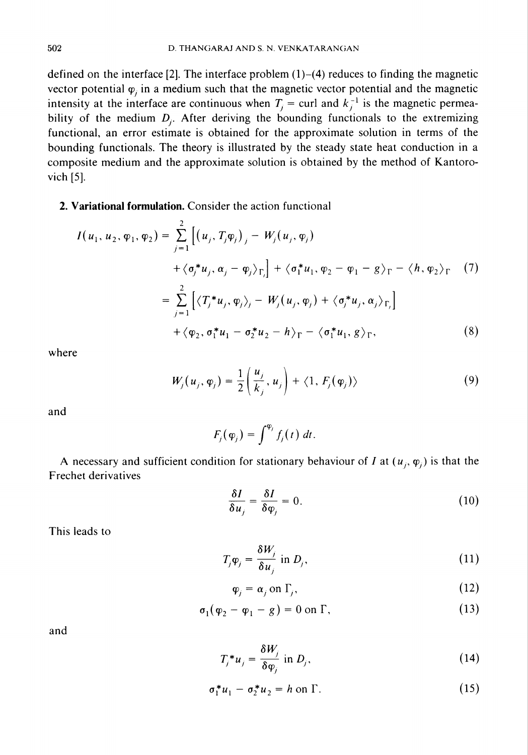defined on the interface  $[2]$ . The interface problem  $(1)$ – $(4)$  reduces to finding the magnetic vector potential  $\varphi_i$  in a medium such that the magnetic vector potential and the magnetic intensity at the interface are continuous when  $T_j = \text{curl}$  and  $k_j^{-1}$  is the magnetic permeability of the medium  $D_i$ . After deriving the bounding functionals to the extremizing functional, an error estimate is obtained for the approximate solution in terms of the bounding functionals. The theory is illustrated by the steady state heat conduction in a composite medium and the approximate solution is obtained by the method of Kantorovich [5],

## 2. Variational formulation. Consider the action functional

$$
I(u_1, u_2, \varphi_1, \varphi_2) = \sum_{j=1}^2 \left[ (u_j, T_j \varphi_j)_j - W_j(u_j, \varphi_j) \right.\n+ \langle \sigma_j^* u_j, \alpha_j - \varphi_j \rangle_{\Gamma_j} \right] + \langle \sigma_1^* u_1, \varphi_2 - \varphi_1 - g \rangle_{\Gamma} - \langle h, \varphi_2 \rangle_{\Gamma} \quad (7)\n= \sum_{j=1}^2 \left[ \langle T_j^* u_j, \varphi_j \rangle_j - W_j(u_j, \varphi_j) + \langle \sigma_j^* u_j, \alpha_j \rangle_{\Gamma_j} \right] \n+ \langle \varphi_2, \sigma_1^* u_1 - \sigma_2^* u_2 - h \rangle_{\Gamma} - \langle \sigma_1^* u_1, g \rangle_{\Gamma}, \quad (8)
$$

where

$$
W_j(u_j, \varphi_j) = \frac{1}{2} \left( \frac{u_j}{k_j}, u_j \right) + \langle 1, F_j(\varphi_j) \rangle \tag{9}
$$

and

$$
F_j(\varphi_j)=\int^{\varphi_j}f_j(t)\,dt.
$$

A necessary and sufficient condition for stationary behaviour of I at  $(u_i, \varphi_i)$  is that the Frechet derivatives

$$
\frac{\delta I}{\delta u_j} = \frac{\delta I}{\delta \varphi_j} = 0.
$$
 (10)

This leads to

$$
T_j \varphi_j = \frac{\delta W_j}{\delta u_j} \text{ in } D_j,\tag{11}
$$

$$
\varphi_j = \alpha_j \text{ on } \Gamma_j,\tag{12}
$$

$$
\sigma_1(\varphi_2 - \varphi_1 - g) = 0 \text{ on } \Gamma,
$$
\n(13)

and

$$
T_j^* u_j = \frac{\delta W_j}{\delta \varphi_i} \text{ in } D_j,\tag{14}
$$

$$
\sigma_1^* u_1 - \sigma_2^* u_2 = h \text{ on } \Gamma. \tag{15}
$$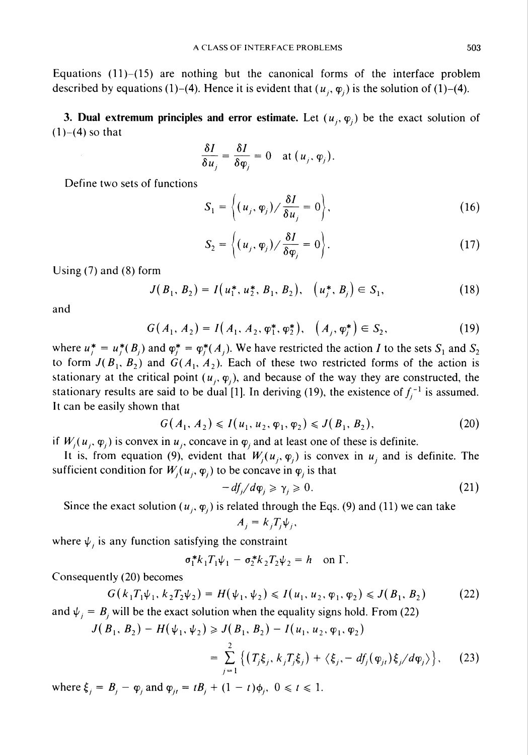Equations  $(11)$ – $(15)$  are nothing but the canonical forms of the interface problem described by equations (1)-(4). Hence it is evident that  $(u_i, \varphi_i)$  is the solution of (1)-(4).

3. Dual extremum principles and error estimate. Let  $(u_i, \varphi_i)$  be the exact solution of  $(1)$ – $(4)$  so that

$$
\frac{\delta I}{\delta u_j} = \frac{\delta I}{\delta \varphi_j} = 0 \quad \text{at } (u_j, \varphi_j).
$$

Define two sets of functions

$$
S_1 = \left\langle (u_j, \varphi_j) / \frac{\delta I}{\delta u_j} = 0 \right\rangle, \tag{16}
$$

$$
S_2 = \left\langle (u_j, \varphi_j) / \frac{\delta I}{\delta \varphi_j} = 0 \right\rangle.
$$
 (17)

Using (7) and (8) form

$$
J(B_1, B_2) = I(u_1^*, u_2^*, B_1, B_2), \quad (u_j^*, B_j) \in S_1,
$$
\n(18)

and

$$
G(A_1, A_2) = I(A_1, A_2, \varphi_1^*, \varphi_2^*), \quad (A_j, \varphi_j^*) \in S_2,
$$
 (19)

where  $u_i^* = u_i^*(B_i)$  and  $\varphi_i^* = \varphi_i^*(A_i)$ . We have restricted the action I to the sets  $S_1$  and  $S_2$ to form  $J(B_1, B_2)$  and  $G(A_1, A_2)$ . Each of these two restricted forms of the action is stationary at the critical point  $(u_i, \varphi_i)$ , and because of the way they are constructed, the stationary results are said to be dual [1]. In deriving (19), the existence of  $f_i^{-1}$  is assumed. It can be easily shown that

$$
G(A_1, A_2) \leqslant I(u_1, u_2, \varphi_1, \varphi_2) \leqslant J(B_1, B_2), \tag{20}
$$

if  $W_i(u_i, \varphi_i)$  is convex in  $u_i$ , concave in  $\varphi_i$  and at least one of these is definite.

It is, from equation (9), evident that  $W_j(u_j, \varphi_j)$  is convex in  $u_j$  and is definite. The sufficient condition for  $W_i(u_i, \varphi_i)$  to be concave in  $\varphi_i$  is that

$$
-df_j/d\varphi_j \geqslant \gamma_j \geqslant 0. \tag{21}
$$

Since the exact solution ( $u_i$ ,  $\varphi_i$ ) is related through the Eqs. (9) and (11) we can take

$$
A_j = k_j T_j \psi_j,
$$

where  $\psi_i$  is any function satisfying the constraint

$$
\sigma_1^* k_1 T_1 \psi_1 - \sigma_2^* k_2 T_2 \psi_2 = h \quad \text{on } \Gamma.
$$

Consequently (20) becomes

$$
G(k_1T_1\psi_1, k_2T_2\psi_2) = H(\psi_1, \psi_2) \leqslant I(u_1, u_2, \varphi_1, \varphi_2) \leqslant J(B_1, B_2)
$$
 (22)

and  $\psi_i = B_i$  will be the exact solution when the equality signs hold. From (22)

$$
J(B_1, B_2) - H(\psi_1, \psi_2) \ge J(B_1, B_2) - I(u_1, u_2, \varphi_1, \varphi_2)
$$
  
= 
$$
\sum_{j=1}^{2} \left\{ (T_j \xi_j, k_j T_j \xi_j) + \langle \xi_j, -df_j(\varphi_{ji}) \xi_j / d\varphi_j \rangle \right\},
$$
 (23)

where  $\xi_i = B_i - \varphi_i$  and  $\varphi_{i} = tB_i + (1 - t)\varphi_i$ ,  $0 \le t \le 1$ .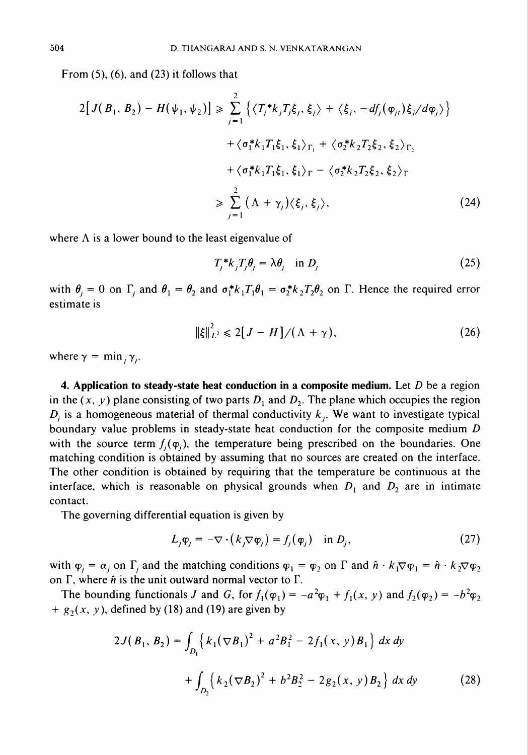From  $(5)$ ,  $(6)$ , and  $(23)$  it follows that

$$
2[J(B_1, B_2) - H(\psi_1, \psi_2)] \geq \sum_{j=1}^2 \left\{ \langle T_j^* k_j T_j \xi_j, \xi_j \rangle + \langle \xi_j, -df_j(\varphi_{jt}) \xi_j / d\varphi_j \rangle \right\} + \langle \sigma_1^* k_1 T_1 \xi_1, \xi_1 \rangle_{\Gamma_1} + \langle \sigma_2^* k_2 T_2 \xi_2, \xi_2 \rangle_{\Gamma_2} + \langle \sigma_1^* k_1 T_1 \xi_1, \xi_1 \rangle_{\Gamma} - \langle \sigma_2^* k_2 T_2 \xi_2, \xi_2 \rangle_{\Gamma} \geq \sum_{j=1}^2 (\Lambda + \gamma_j) \langle \xi_j, \xi_j \rangle,
$$
 (24)

where  $\Lambda$  is a lower bound to the least eigenvalue of

$$
T_j^*k_jT_j\theta_j = \lambda\theta_j \quad \text{in } D_j \tag{25}
$$

with  $\theta_i = 0$  on  $\Gamma_i$  and  $\theta_1 = \theta_2$  and  $\sigma_1^* k_1 T_1 \theta_1 = \sigma_2^* k_2 T_2 \theta_2$  on  $\Gamma$ . Hence the required error estimate is

$$
\|\xi\|_{L^2}^2 \leq 2[J - H]/(\Lambda + \gamma), \tag{26}
$$

where  $\gamma = \min_i \gamma_i$ .

4. Application to steady-state heat conduction in a composite medium. Let  $D$  be a region in the  $(x, y)$  plane consisting of two parts  $D_1$  and  $D_2$ . The plane which occupies the region D, is a homogeneous material of thermal conductivity  $k_i$ . We want to investigate typical boundary value problems in steady-state heat conduction for the composite medium D with the source term  $f_i(\varphi_i)$ , the temperature being prescribed on the boundaries. One matching condition is obtained by assuming that no sources are created on the interface. The other condition is obtained by requiring that the temperature be continuous at the interface, which is reasonable on physical grounds when  $D_1$  and  $D_2$  are in intimate contact.

The governing differential equation is given by

$$
L_j \varphi_j = -\nabla \cdot (k_j \nabla \varphi_j) = f_j(\varphi_j) \quad \text{in } D_j,
$$
 (27)

with  $\varphi_i = \alpha_i$  on  $\Gamma_i$  and the matching conditions  $\varphi_1 = \varphi_2$  on  $\Gamma$  and  $\hat{n} \cdot k_1 \nabla \varphi_1 = \hat{n} \cdot k_2 \nabla \varphi_2$ on  $\Gamma$ , where  $\hat{n}$  is the unit outward normal vector to  $\Gamma$ .

The bounding functionals J and G, for  $f_1(\varphi_1) = -a^2\varphi_1 + f_1(x, y)$  and  $f_2(\varphi_2) = -b^2\varphi_2$ +  $g_2(x, y)$ , defined by (18) and (19) are given by

$$
2J(B_1, B_2) = \int_{D_1} \left\{ k_1 (\nabla B_1)^2 + a^2 B_1^2 - 2f_1(x, y) B_1 \right\} dx dy
$$
  
+ 
$$
\int_{D_2} \left\{ k_2 (\nabla B_2)^2 + b^2 B_2^2 - 2g_2(x, y) B_2 \right\} dx dy
$$
 (28)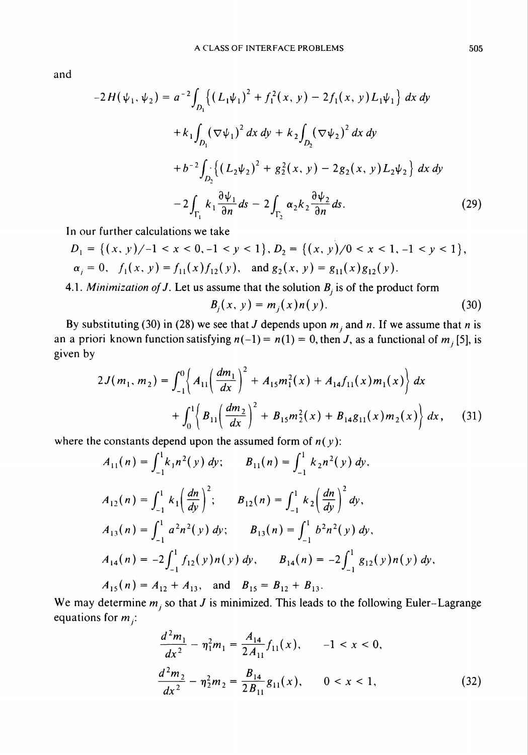and

$$
-2H(\psi_1, \psi_2) = a^{-2} \int_{D_1} \left\{ (L_1 \psi_1)^2 + f_1^2(x, y) - 2f_1(x, y)L_1 \psi_1 \right\} dx dy
$$
  
+  $k_1 \int_{D_1} (\nabla \psi_1)^2 dx dy + k_2 \int_{D_2} (\nabla \psi_2)^2 dx dy$   
+  $b^{-2} \int_{D_2} \left\{ (L_2 \psi_2)^2 + g_2^2(x, y) - 2g_2(x, y)L_2 \psi_2 \right\} dx dy$   
-  $2 \int_{\Gamma_1} k_1 \frac{\partial \psi_1}{\partial n} ds - 2 \int_{\Gamma_2} \alpha_2 k_2 \frac{\partial \psi_2}{\partial n} ds.$  (29)

In our further calculations we take

$$
D_1 = \{(x, y)/-1 < x < 0, -1 < y < 1\}, D_2 = \{(x, y)/0 < x < 1, -1 < y < 1\}, \alpha_j = 0, \quad f_1(x, y) = f_{11}(x)f_{12}(y), \quad \text{and } g_2(x, y) = g_{11}(x)g_{12}(y).
$$

4.1. Minimization of J. Let us assume that the solution  $B_j$  is of the product form

$$
B_j(x, y) = m_j(x) n(y).
$$
 (30)

By substituting (30) in (28) we see that J depends upon  $m_j$  and n. If we assume that n is an a priori known function satisfying  $n(-1) = n(1) = 0$ , then J, as a functional of  $m_j$  [5], is given by

$$
2J(m_1, m_2) = \int_{-1}^{0} \left\{ A_{11} \left( \frac{dm_1}{dx} \right)^2 + A_{15} m_1^2(x) + A_{14} f_{11}(x) m_1(x) \right\} dx
$$

$$
+ \int_{0}^{1} \left\{ B_{11} \left( \frac{dm_2}{dx} \right)^2 + B_{15} m_2^2(x) + B_{14} g_{11}(x) m_2(x) \right\} dx, \quad (31)
$$

where the constants depend upon the assumed form of  $n(y)$ :

$$
A_{11}(n) = \int_{-1}^{1} k_1 n^2(y) \, dy; \qquad B_{11}(n) = \int_{-1}^{1} k_2 n^2(y) \, dy,
$$
  
\n
$$
A_{12}(n) = \int_{-1}^{1} k_1 \left(\frac{dn}{dy}\right)^2; \qquad B_{12}(n) = \int_{-1}^{1} k_2 \left(\frac{dn}{dy}\right)^2 dy,
$$
  
\n
$$
A_{13}(n) = \int_{-1}^{1} a^2 n^2(y) \, dy; \qquad B_{13}(n) = \int_{-1}^{1} b^2 n^2(y) \, dy,
$$
  
\n
$$
A_{14}(n) = -2 \int_{-1}^{1} f_{12}(y) n(y) \, dy, \qquad B_{14}(n) = -2 \int_{-1}^{1} g_{12}(y) n(y) \, dy,
$$
  
\n
$$
A_{15}(n) = A_{12} + A_{13}, \text{ and } B_{15} = B_{12} + B_{13}.
$$

We may determine  $m_j$  so that J is minimized. This leads to the following Euler-Lagrange equations for  $m_i$ :

$$
\frac{d^2m_1}{dx^2} - \eta_1^2 m_1 = \frac{A_{14}}{2A_{11}} f_{11}(x), \qquad -1 < x < 0,
$$
\n
$$
\frac{d^2m_2}{dx^2} - \eta_2^2 m_2 = \frac{B_{14}}{2B_{11}} g_{11}(x), \qquad 0 < x < 1,
$$
\n(32)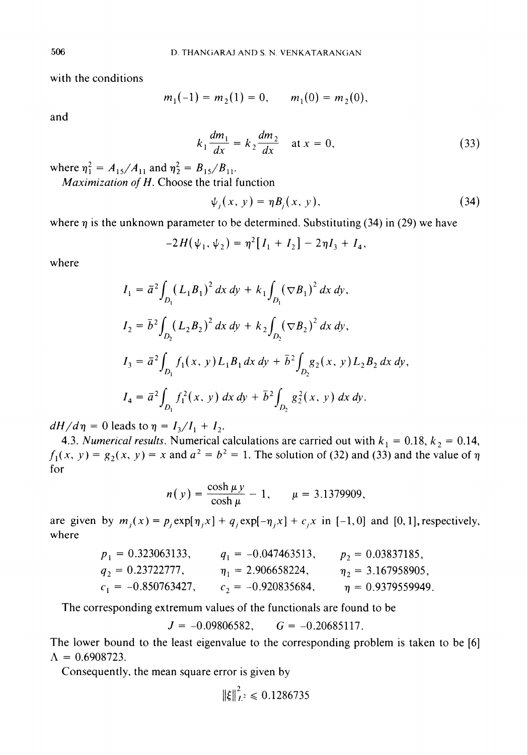with the conditions

$$
m_1(-1) = m_2(1) = 0, \qquad m_1(0) = m_2(0),
$$

and

$$
k_1 \frac{dm_1}{dx} = k_2 \frac{dm_2}{dx} \quad \text{at } x = 0,
$$
 (33)

where  $\eta_1^2 = A_{15}/A_{11}$  and  $\eta_2^2 = B_{15}/B_{11}$ .

Maximization of H. Choose the trial function

$$
\psi_j(x, y) = \eta B_j(x, y), \qquad (34)
$$

where  $\eta$  is the unknown parameter to be determined. Substituting (34) in (29) we have

$$
-2H(\psi_1, \psi_2) = \eta^2 [I_1 + I_2] - 2\eta I_3 + I_4,
$$

where

$$
I_1 = \bar{a}^2 \int_{D_1} (L_1 B_1)^2 dx dy + k_1 \int_{D_1} (\nabla B_1)^2 dx dy,
$$
  
\n
$$
I_2 = \bar{b}^2 \int_{D_2} (L_2 B_2)^2 dx dy + k_2 \int_{D_2} (\nabla B_2)^2 dx dy,
$$
  
\n
$$
I_3 = \bar{a}^2 \int_{D_1} f_1(x, y) L_1 B_1 dx dy + \bar{b}^2 \int_{D_2} g_2(x, y) L_2 B_2 dx dy,
$$
  
\n
$$
I_4 = \bar{a}^2 \int_{D_1} f_1^2(x, y) dx dy + \bar{b}^2 \int_{D_2} g_2^2(x, y) dx dy.
$$

 $dH/d\eta = 0$  leads to  $\eta = I_3/I_1 + I_2$ .

4.3. Numerical results. Numerical calculations are carried out with  $k_1 = 0.18$ ,  $k_2 = 0.14$ ,  $f_1(x, y) = g_2(x, y) = x$  and  $a^2 = b^2 = 1$ . The solution of (32) and (33) and the value of  $\eta$ for

$$
n(y) = \frac{\cosh \mu y}{\cosh \mu} - 1, \qquad \mu = 3.1379909,
$$

are given by  $m_i(x) = p_i \exp[\eta_i x] + q_i \exp[-\eta_i x] + c_i x$  in [-1,0] and [0,1], respectively, where

$$
p_1 = 0.323063133,
$$
  $q_1 = -0.047463513,$   $p_2 = 0.03837185,$   
\n $q_2 = 0.23722777,$   $\eta_1 = 2.906658224,$   $\eta_2 = 3.167958905,$   
\n $c_1 = -0.850763427,$   $c_2 = -0.920835684,$   $\eta = 0.9379559949.$ 

The corresponding extremum values of the functionals are found to be

 $J = -0.09806582,$   $G = -0.20685117.$ 

The lower bound to the least eigenvalue to the corresponding problem is taken to be [6]  $\Lambda = 0.6908723.$ 

Consequently, the mean square error is given by

$$
\|\xi\|_{L^2}^2 \leq 0.1286735
$$